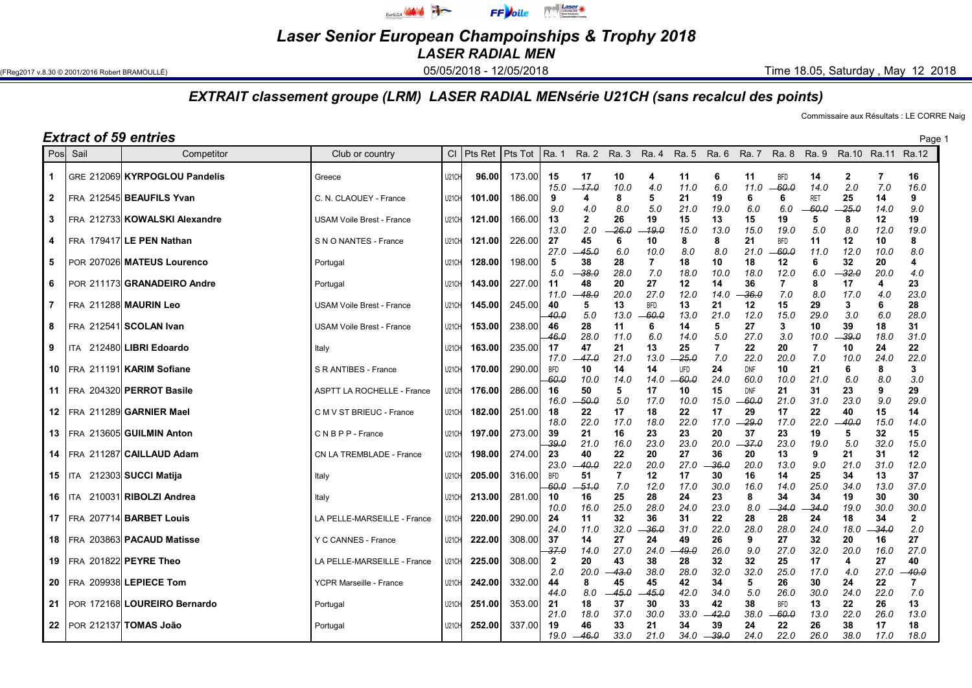

Laser Senior European Champoinships & Trophy 2018 LASER RADIAL MEN

(FReg2017 v.8.30 © 2001/2016 Robert BRAMOULLÉ) **12/05/2018 - 05/05/2018 - 12/05/2018** Time 18.05, Saturday , May 12 2018

## EXTRAIT classement groupe (LRM) LASER RADIAL MENsérie U21CH (sans recalcul des points)

Commissaire aux Résultats : LE CORRE Naig

## **Extract of 59 entries** Page 1

| Pos            | Sail | Competitor                        | Club or country                   |                    | $Cl$ Pts Ret | Pts Tot | l Ra. 1             |                     | Ra. 2 Ra. 3   | Ra. 4                 | Ra. 5                 | Ra. 6         | Ra. 7               | <b>Ra. 8</b>          | Ra. 9               |                     | Ra.10 Ra.11 Ra.12     |                     |
|----------------|------|-----------------------------------|-----------------------------------|--------------------|--------------|---------|---------------------|---------------------|---------------|-----------------------|-----------------------|---------------|---------------------|-----------------------|---------------------|---------------------|-----------------------|---------------------|
| $\mathbf{1}$   |      | GRE 212069 KYRPOGLOU Pandelis     | Greece                            | U21CH              | 96.00        | 173.00  | 15<br>15.0          | 17<br>$-17.0$       | 10<br>10.0    | 4<br>4.0              | 11<br>11.0            | 6<br>6.0      | 11<br>11.0          | <b>BFD</b><br>60.0    | 14<br>14.0          | $\mathbf{2}$<br>2.0 | $\overline{7}$<br>7.0 | 16<br>16.0          |
| $\overline{2}$ |      | FRA 212545 BEAUFILS Yvan          | C. N. CLAOUEY - France            | U21CH              | 101.00       | 186.00  | 9<br>9.0            | 4<br>4.0            | 8<br>8.0      | 5<br>5.0              | 21<br>21.0            | 19<br>19.0    | 6<br>6.0            | 6<br>6.0              | <b>RET</b><br>-60.0 | 25<br>$-25.0$       | 14<br>14.0            | 9<br>9.0            |
| $\mathbf{3}$   |      | FRA 212733 KOWALSKI Alexandre     | <b>USAM Voile Brest - France</b>  | U21CH              | 121.00       | 166.00  | 13<br>13.0          | $\mathbf{2}$<br>2.0 | 26<br>26.0    | 19<br>19.0            | 15<br>15.0            | 13<br>13.0    | 15<br>15.0          | 19<br>19.0            | 5<br>5.0            | 8<br>8.0            | 12<br>12.0            | 19<br>19.0          |
| 4              |      | FRA 179417 LE PEN Nathan          | S N O NANTES - France             | U21CH              | 121.00       | 226.00  | 27<br>27.0          | 45<br>$-45.0$       | 6<br>6.0      | 10<br>10.0            | 8<br>8.0              | 8<br>8.0      | 21<br>21.0          | <b>BFD</b><br>60.0    | 11<br>11.0          | 12<br>12.0          | 10<br>10.0            | 8<br>8.0            |
| 5              |      | POR 207026 MATEUS Lourenco        | Portugal                          | <b>U21CH</b>       | 128.00       | 198.00  | 5<br>5.0            | 38<br>- 38.0        | 28<br>28.0    | 7<br>7.0              | 18<br>18.0            | 10<br>10.0    | 18<br>18.0          | 12<br>12.0            | 6<br>6.0            | 32<br>32.0          | 20<br>20.0            | 4<br>4.0            |
| 6              |      | POR 211173 GRANADEIRO Andre       | Portugal                          | U21CH              | 143.00       | 227.00  | 11<br>11.0          | 48<br>48.0          | 20<br>20.0    | 27<br>27.0            | 12<br>12.0            | 14<br>14.0    | 36<br>36.0          | $\overline{7}$<br>7.0 | 8<br>8.0            | 17<br>17.0          | 4<br>4.0              | 23<br>23.0          |
| $\overline{7}$ |      | FRA 211288 MAURIN Leo             | USAM Voile Brest - France         | U21CH              | 145.00       | 245.00  | 40<br>-40.0         | 5<br>5.0            | 13<br>13.0    | <b>BFD</b><br>$-60.0$ | 13<br>13.0            | 21<br>21.0    | 12<br>12.0          | 15<br>15.0            | 29<br>29.0          | 3<br>3.0            | 6<br>6.0              | 28<br>28.0          |
| 8              |      | FRA 212541 SCOLAN Ivan            | <b>USAM Voile Brest - France</b>  | U <sub>21</sub> CH | 153.00       | 238.00  | 46<br>$-46.0$       | 28<br>28.0          | 11<br>11.0    | 6<br>6.0              | 14<br>14.0            | 5<br>5.0      | 27<br>27.0          | 3<br>3.0              | 10<br>10.0          | 39<br>-39.0         | 18<br>18.0            | 31<br>31.0          |
| 9              |      | ITA 212480 LIBRI Edoardo          | Italy                             | U21CH              | 163.00       | 235.00  | 17<br>17.0          | 47<br>47.0          | 21<br>21.0    | 13<br>13.0            | 25<br>-25.0           | 7<br>7.0      | 22<br>22.0          | 20<br>20.0            | 7<br>7.0            | 10<br>10.0          | 24<br>24.0            | 22<br>22.0          |
|                |      | 10   FRA 211191 KARIM Sofiane     | S R ANTIBES - France              | U21CH              | 170.00       | 290.00  | <b>BFD</b><br>-60.0 | 10<br>10.0          | 14<br>14.0    | 14<br>14.0            | <b>UFD</b><br>$-60.0$ | 24<br>24.0    | <b>DNF</b><br>60.0  | 10<br>10.0            | 21<br>21.0          | 6<br>6.0            | 8<br>8.0              | 3<br>3.0            |
|                |      | 11   FRA 204320 PERROT Basile     | <b>ASPTT LA ROCHELLE - France</b> | U21CH              | 176.00       | 286.00  | 16<br>16.0          | 50<br>-50.0         | 5<br>5.0      | 17<br>17.0            | 10<br>10.0            | 15<br>15.0    | <b>DNF</b><br>-60.0 | 21<br>21.0            | 31<br>31.0          | 23<br>23.0          | 9<br>9.0              | 29<br>29.0          |
| 12             |      | FRA 211289 GARNIER Mael           | C M V ST BRIEUC - France          | <b>U21CH</b>       | 182.00       | 251.00  | 18<br>18.0          | 22<br>22.0          | 17<br>17.0    | 18<br>18.0            | 22<br>22.0            | 17<br>17.0    | 29<br>29.0          | 17<br>17.0            | 22<br>22.0          | 40<br>40.0          | 15<br>15.0            | 14<br>14.0          |
|                |      | 13   FRA 213605 GUILMIN Anton     | CNBPP-France                      | U21CH              | 197.00       | 273.00  | 39<br>-39.0         | 21<br>21.0          | 16<br>16.0    | 23<br>23.0            | 23<br>23.0            | 20<br>20.0    | 37<br>37.0          | 23<br>23.0            | 19<br>19.0          | 5<br>5.0            | 32<br>32.0            | 15<br>15.0          |
| 14             |      | FRA 211287 CAILLAUD Adam          | CN LA TREMBLADE - France          | U21CH              | 198.00       | 274.00  | 23<br>23.0          | 40<br>$-40.0$       | 22<br>22.0    | 20<br>20.0            | 27<br>27.0            | 36<br>36.0    | 20<br>20.0          | 13<br>13.0            | 9<br>9.0            | 21<br>21.0          | 31<br>31.0            | 12<br>12.0          |
|                |      | 15   ITA 212303 SUCCI Matija      | Italy                             | U21CH              | 205.00       | 316.00  | <b>BFD</b><br>-60.0 | 51<br>$-51.0$       | 7<br>7.0      | 12<br>12.0            | 17<br>17.0            | 30<br>30.0    | 16<br>16.0          | 14<br>14.0            | 25<br>25.0          | 34<br>34.0          | 13<br>13.0            | 37<br>37.0          |
|                |      | 16   ITA 210031 RIBOLZI Andrea    | Italy                             | U21CH              | 213.00       | 281.00  | 10<br>10.0          | 16<br>16.0          | 25<br>25.0    | 28<br>28.0            | 24<br>24.0            | 23<br>23.0    | 8<br>8.0            | 34<br>-34.0           | 34<br>-34.0         | 19<br>19.0          | 30<br>30.0            | 30<br>30.0          |
| 17             |      | FRA 207714 BARBET Louis           | LA PELLE-MARSEILLE - France       | U21CH              | 220.00       | 290.00  | 24<br>24.0          | 11<br>11.0          | 32<br>32.0    | 36<br>$-36.0$         | 31<br>31.0            | 22<br>22.0    | 28<br>28.0          | 28<br>28.0            | 24<br>24.0          | 18<br>18.0          | 34<br>34.0            | $\mathbf{2}$<br>2.0 |
| 18             |      | FRA 203863 PACAUD Matisse         | Y C CANNES - France               | U21CH              | 222.00       | 308.00  | 37<br>-37.0         | 14<br>14.0          | 27<br>27.0    | 24<br>24.0            | 49<br>49.0            | 26<br>26.0    | 9<br>9.0            | 27<br>27.0            | 32<br>32.0          | 20<br>20.0          | 16<br>16.0            | 27<br>27.0          |
| 19             |      | FRA 201822 PEYRE Theo             | LA PELLE-MARSEILLE - France       | U21CH              | 225.00       | 308.00  | $\mathbf{2}$<br>2.0 | 20<br>20.0          | 43<br>43.0    | 38<br>38.0            | 28<br>28.0            | 32<br>32.0    | 32<br>32.0          | 25<br>25.0            | 17<br>17.0          | 4<br>4.0            | 27<br>27.0            | 40<br>40.0          |
| 20             |      | FRA 209938 LEPIECE Tom            | YCPR Marseille - France           | U <sub>21</sub> CH | 242.00       | 332.00  | 44<br>44.0          | 8<br>8.0            | 45<br>$-45.0$ | 45<br>45.0            | 42<br>42.0            | 34<br>34.0    | 5<br>5.0            | 26<br>26.0            | 30<br>30.0          | 24<br>24.0          | 22<br>22.0            | 7<br>7.0            |
|                |      | 21   POR 172168 LOUREIRO Bernardo | Portugal                          | U21CH              | 251.00       | 353.00  | 21<br>21.0          | 18<br>18.0          | 37<br>37.0    | 30<br>30.0            | 33<br>33.0            | 42<br>42.0    | 38<br>38.0          | <b>BFD</b><br>$-60.0$ | 13<br>13.0          | 22<br>22.0          | 26<br>26.0            | 13<br>13.0          |
| 22             |      | POR 212137 TOMAS João             | Portugal                          | U21CH              | 252.00       | 337.00  | 19<br>19.0          | 46<br>$-46.0$       | 33<br>33.0    | 21<br>21.0            | 34<br>34.0            | 39<br>$-39.0$ | 24<br>24.0          | 22<br>22.0            | 26<br>26.0          | 38<br>38.0          | 17<br>17.0            | 18<br>18.0          |